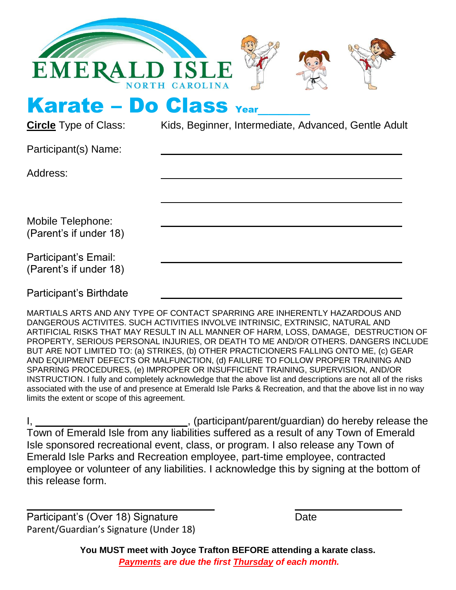

Karate – Do Class Year

**Circle** Type of Class: Kids, Beginner, Intermediate, Advanced, Gentle Adult

Participant(s) Name:

Address:

Mobile Telephone: (Parent's if under 18)

Participant's Email: (Parent's if under 18)

Participant's Birthdate

MARTIALS ARTS AND ANY TYPE OF CONTACT SPARRING ARE INHERENTLY HAZARDOUS AND DANGEROUS ACTIVITES. SUCH ACTIVITIES INVOLVE INTRINSIC, EXTRINSIC, NATURAL AND ARTIFICIAL RISKS THAT MAY RESULT IN ALL MANNER OF HARM, LOSS, DAMAGE, DESTRUCTION OF PROPERTY, SERIOUS PERSONAL INJURIES, OR DEATH TO ME AND/OR OTHERS. DANGERS INCLUDE BUT ARE NOT LIMITED TO: (a) STRIKES, (b) OTHER PRACTICIONERS FALLING ONTO ME, (c) GEAR AND EQUIPMENT DEFECTS OR MALFUNCTION, (d) FAILURE TO FOLLOW PROPER TRAINING AND SPARRING PROCEDURES, (e) IMPROPER OR INSUFFICIENT TRAINING, SUPERVISION, AND/OR INSTRUCTION. I fully and completely acknowledge that the above list and descriptions are not all of the risks associated with the use of and presence at Emerald Isle Parks & Recreation, and that the above list in no way limits the extent or scope of this agreement.

<sub>,</sub> (participant/parent/guardian) do hereby release the Town of Emerald Isle from any liabilities suffered as a result of any Town of Emerald Isle sponsored recreational event, class, or program. I also release any Town of Emerald Isle Parks and Recreation employee, part-time employee, contracted employee or volunteer of any liabilities. I acknowledge this by signing at the bottom of this release form.

Participant's (Over 18) Signature **Date** Date Parent/Guardian's Signature (Under 18)

**You MUST meet with Joyce Trafton BEFORE attending a karate class.** *Payments are due the first Thursday of each month.*